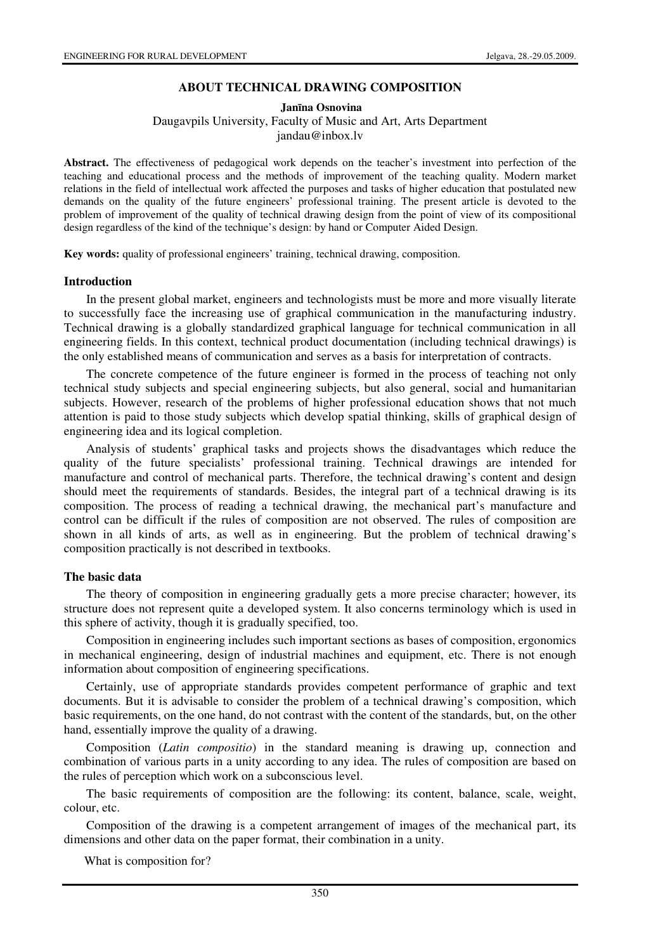### **ABOUT TECHNICAL DRAWING COMPOSITION**

#### **Jan**ī**na Osnovina**  Daugavpils University, Faculty of Music and Art, Arts Department jandau@inbox.lv

**Abstract.** The effectiveness of pedagogical work depends on the teacher's investment into perfection of the teaching and educational process and the methods of improvement of the teaching quality. Modern market relations in the field of intellectual work affected the purposes and tasks of higher education that postulated new demands on the quality of the future engineers' professional training. The present article is devoted to the problem of improvement of the quality of technical drawing design from the point of view of its compositional design regardless of the kind of the technique's design: by hand or Computer Aided Design.

**Key words:** quality of professional engineers' training, technical drawing, composition.

#### **Introduction**

In the present global market, engineers and technologists must be more and more visually literate to successfully face the increasing use of graphical communication in the manufacturing industry. Technical drawing is a globally standardized graphical language for technical communication in all engineering fields. In this context, technical product documentation (including technical drawings) is the only established means of communication and serves as a basis for interpretation of contracts.

The concrete competence of the future engineer is formed in the process of teaching not only technical study subjects and special engineering subjects, but also general, social and humanitarian subjects. However, research of the problems of higher professional education shows that not much attention is paid to those study subjects which develop spatial thinking, skills of graphical design of engineering idea and its logical completion.

Analysis of students' graphical tasks and projects shows the disadvantages which reduce the quality of the future specialists' professional training. Technical drawings are intended for manufacture and control of mechanical parts. Therefore, the technical drawing's content and design should meet the requirements of standards. Besides, the integral part of a technical drawing is its composition. The process of reading a technical drawing, the mechanical part's manufacture and control can be difficult if the rules of composition are not observed. The rules of composition are shown in all kinds of arts, as well as in engineering. But the problem of technical drawing's composition practically is not described in textbooks.

### **The basic data**

The theory of composition in engineering gradually gets a more precise character; however, its structure does not represent quite a developed system. It also concerns terminology which is used in this sphere of activity, though it is gradually specified, too.

Composition in engineering includes such important sections as bases of composition, ergonomics in mechanical engineering, design of industrial machines and equipment, etc. There is not enough information about composition of engineering specifications.

Certainly, use of appropriate standards provides competent performance of graphic and text documents. But it is advisable to consider the problem of a technical drawing's composition, which basic requirements, on the one hand, do not contrast with the content of the standards, but, on the other hand, essentially improve the quality of a drawing.

Composition (*Latin compositio*) in the standard meaning is drawing up, connection and combination of various parts in a unity according to any idea. The rules of composition are based on the rules of perception which work on a subconscious level.

The basic requirements of composition are the following: its content, balance, scale, weight, colour, etc.

Composition of the drawing is a competent arrangement of images of the mechanical part, its dimensions and other data on the paper format, their combination in a unity.

What is composition for?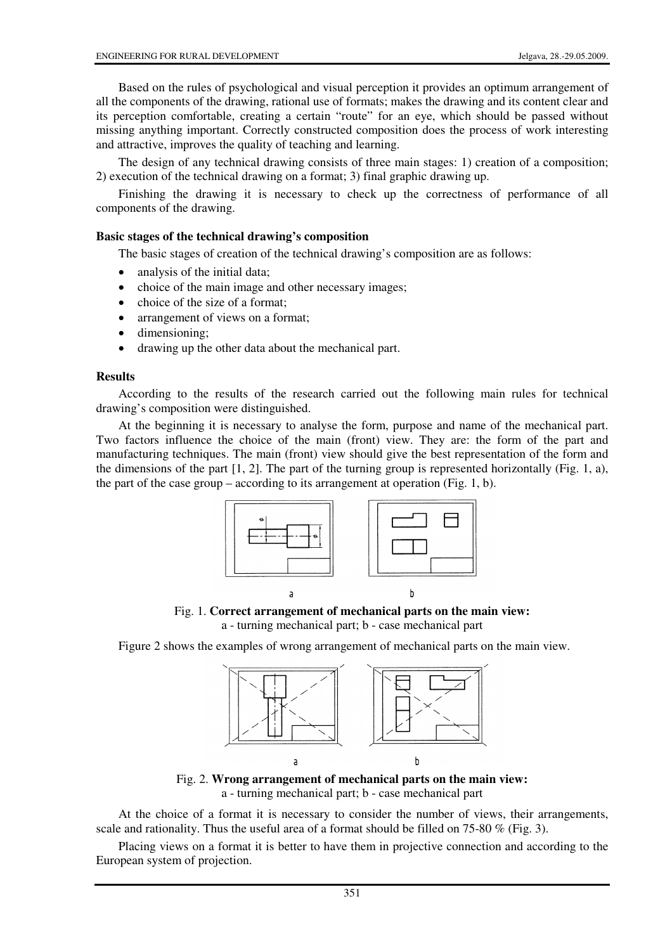Based on the rules of psychological and visual perception it provides an optimum arrangement of all the components of the drawing, rational use of formats; makes the drawing and its content clear and its perception comfortable, creating a certain "route" for an eye, which should be passed without missing anything important. Correctly constructed composition does the process of work interesting and attractive, improves the quality of teaching and learning.

The design of any technical drawing consists of three main stages: 1) creation of a composition; 2) execution of the technical drawing on a format; 3) final graphic drawing up.

Finishing the drawing it is necessary to check up the correctness of performance of all components of the drawing.

## **Basic stages of the technical drawing's composition**

The basic stages of creation of the technical drawing's composition are as follows:

- analysis of the initial data:
- choice of the main image and other necessary images;
- choice of the size of a format;
- arrangement of views on a format;
- dimensioning;
- drawing up the other data about the mechanical part.

## **Results**

According to the results of the research carried out the following main rules for technical drawing's composition were distinguished.

At the beginning it is necessary to analyse the form, purpose and name of the mechanical part. Two factors influence the choice of the main (front) view. They are: the form of the part and manufacturing techniques. The main (front) view should give the best representation of the form and the dimensions of the part  $[1, 2]$ . The part of the turning group is represented horizontally (Fig. 1, a), the part of the case group – according to its arrangement at operation (Fig. 1, b).



Fig. 1. **Correct arrangement of mechanical parts on the main view:** 

a - turning mechanical part; b - case mechanical part

Figure 2 shows the examples of wrong arrangement of mechanical parts on the main view.



Fig. 2. **Wrong arrangement of mechanical parts on the main view:**  a - turning mechanical part; b - case mechanical part

At the choice of a format it is necessary to consider the number of views, their arrangements, scale and rationality. Thus the useful area of a format should be filled on  $75-80\%$  (Fig. 3).

Placing views on a format it is better to have them in projective connection and according to the European system of projection.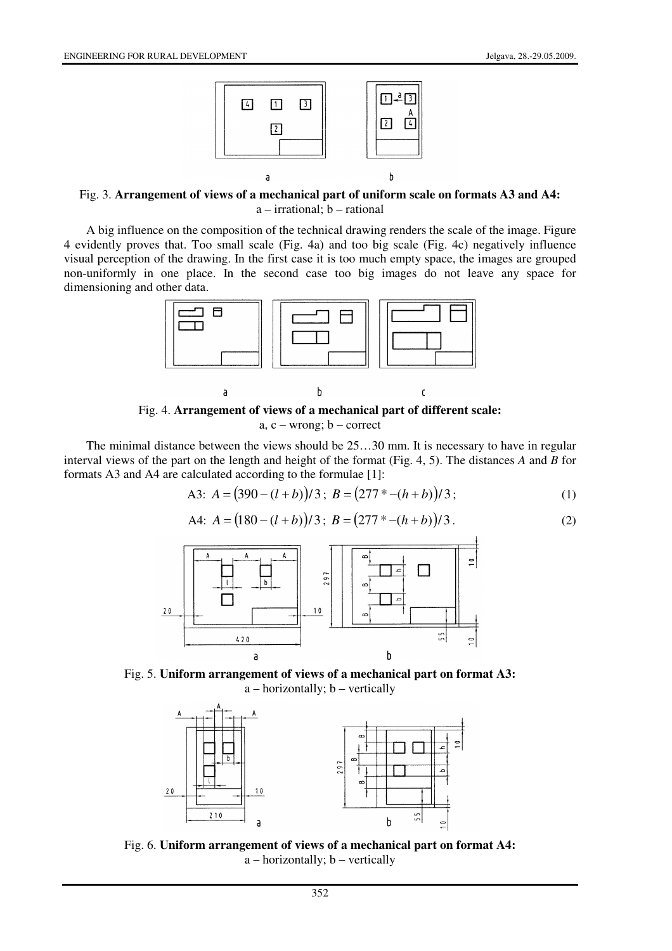

Fig. 3. **Arrangement of views of a mechanical part of uniform scale on formats A3 and A4:**  a – irrational; b – rational

A big influence on the composition of the technical drawing renders the scale of the image. Figure 4 evidently proves that. Too small scale (Fig. 4a) and too big scale (Fig. 4c) negatively influence visual perception of the drawing. In the first case it is too much empty space, the images are grouped non-uniformly in one place. In the second case too big images do not leave any space for dimensioning and other data.



Fig. 4. **Arrangement of views of a mechanical part of different scale:**  a, c – wrong; b – correct

The minimal distance between the views should be 25…30 mm. It is necessary to have in regular interval views of the part on the length and height of the format (Fig. 4, 5). The distances *A* and *B* for formats A3 and A4 are calculated according to the formulae [1]:

A3: 
$$
A = (390 - (l+b))/3
$$
;  $B = (277 \cdot 4 - (h+b))/3$ ; (1)

A4: 
$$
A = (180 - (l+b))/3
$$
;  $B = (277 \cdot 4 - (h+b))/3$ . (2)



Fig. 5. **Uniform arrangement of views of a mechanical part on format A3:**  a – horizontally; b – vertically



Fig. 6. **Uniform arrangement of views of a mechanical part on format A4:**  a – horizontally; b – vertically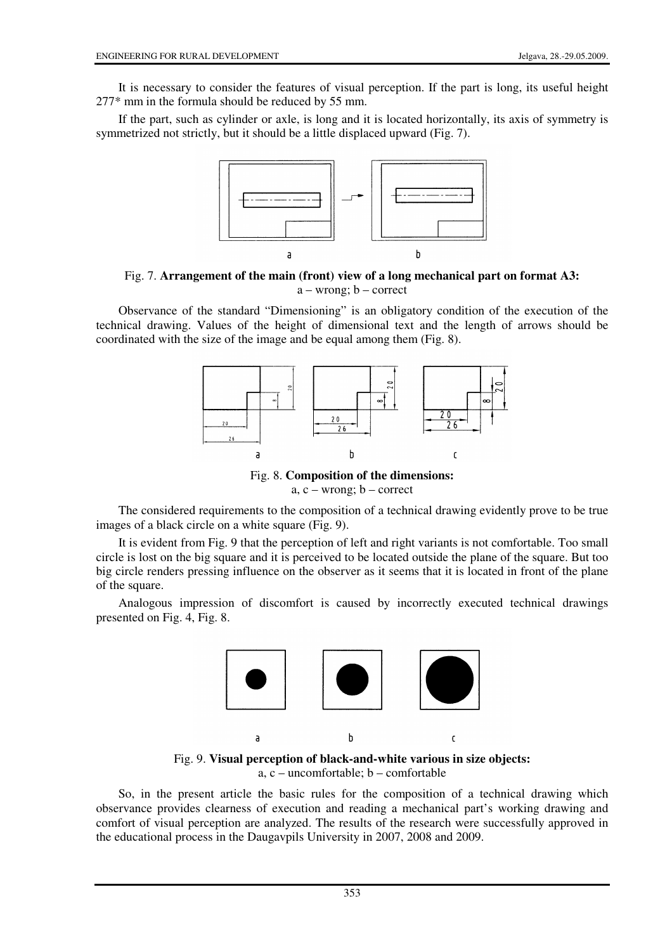It is necessary to consider the features of visual perception. If the part is long, its useful height 277\* mm in the formula should be reduced by 55 mm.

If the part, such as cylinder or axle, is long and it is located horizontally, its axis of symmetry is symmetrized not strictly, but it should be a little displaced upward (Fig. 7).



Fig. 7. **Arrangement of the main (front) view of a long mechanical part on format A3:**   $a -$ wrong;  $b -$ correct

Observance of the standard "Dimensioning" is an obligatory condition of the execution of the technical drawing. Values of the height of dimensional text and the length of arrows should be coordinated with the size of the image and be equal among them (Fig. 8).



Fig. 8. **Composition of the dimensions:**  a,  $c$  – wrong;  $b$  – correct

The considered requirements to the composition of a technical drawing evidently prove to be true images of a black circle on a white square (Fig. 9).

It is evident from Fig. 9 that the perception of left and right variants is not comfortable. Too small circle is lost on the big square and it is perceived to be located outside the plane of the square. But too big circle renders pressing influence on the observer as it seems that it is located in front of the plane of the square.

Analogous impression of discomfort is caused by incorrectly executed technical drawings presented on Fig. 4, Fig. 8.



Fig. 9. **Visual perception of black-and-white various in size objects:**  a, c – uncomfortable; b – comfortable

So, in the present article the basic rules for the composition of a technical drawing which observance provides clearness of execution and reading a mechanical part's working drawing and comfort of visual perception are analyzed. The results of the research were successfully approved in the educational process in the Daugavpils University in 2007, 2008 and 2009.